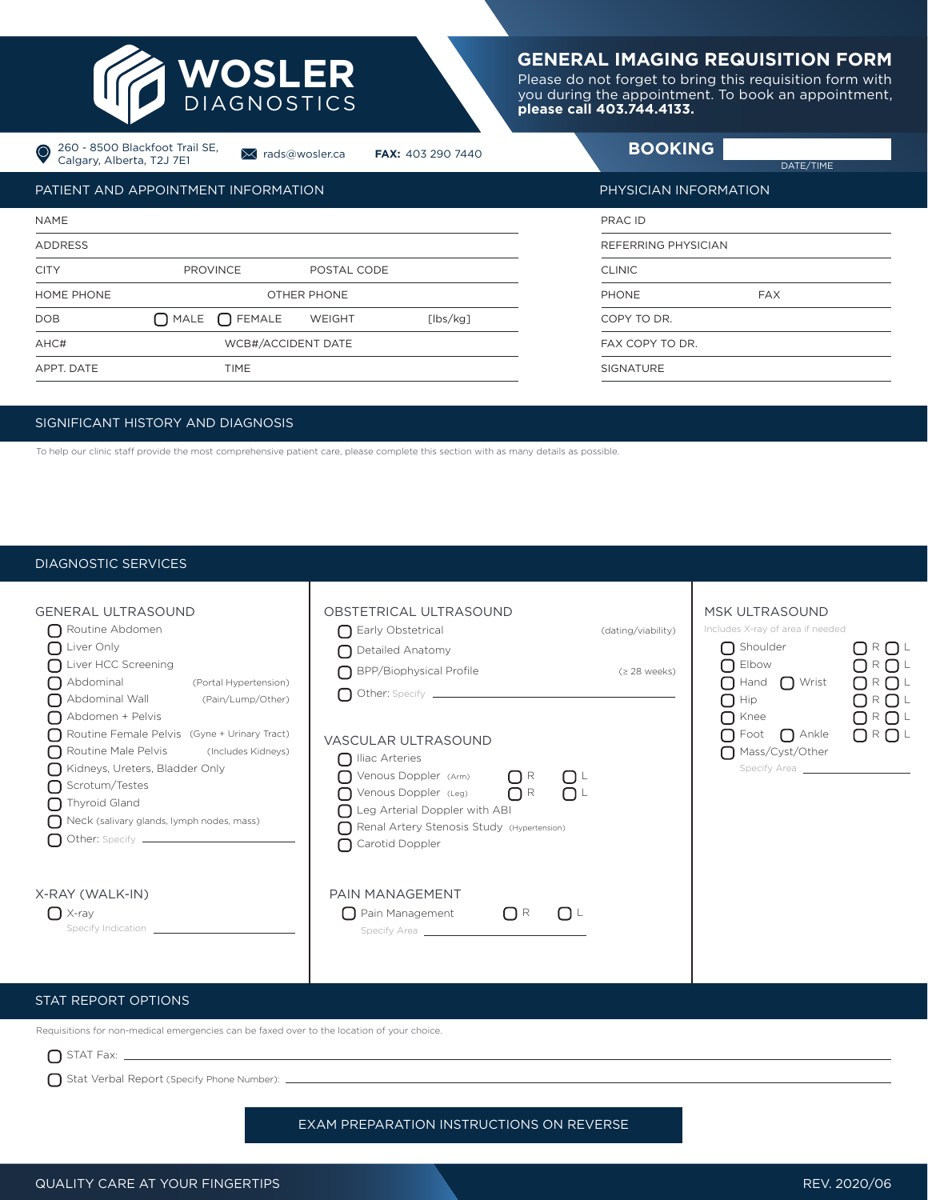

# **GENERAL IMAGING REQUISITION FORM**

Please do not forget to bring this requisition form with you during the appointment. To book an appointment, **please call 403.744.4133.**

| Calgary, Alberta, T2J 7E1 | 260 - 8500 Blackfoot Trail SE,             | × rads@wosler.ca | <b>FAX: 403 290 7440</b> | <b>BOOKING</b>        | DATE/TIME  |  |
|---------------------------|--------------------------------------------|------------------|--------------------------|-----------------------|------------|--|
|                           | <b>PATIENT AND APPOINTMENT INFORMATION</b> |                  |                          | PHYSICIAN INFORMATION |            |  |
| <b>NAME</b>               |                                            |                  |                          | PRAC ID               |            |  |
| <b>ADDRESS</b>            |                                            |                  |                          | REFERRING PHYSICIAN   |            |  |
| <b>CITY</b>               | <b>PROVINCE</b>                            | POSTAL CODE      |                          | <b>CLINIC</b>         |            |  |
| HOME PHONE                | OTHER PHONE                                |                  |                          | <b>PHONE</b>          | <b>FAX</b> |  |
| <b>DOB</b>                | $\bigcap$ MALE $\bigcap$ FEMALE            | WEIGHT           | [lbs/kg]                 | COPY TO DR.           |            |  |
| AHC#                      | WCB#/ACCIDENT DATE                         |                  |                          | FAX COPY TO DR.       |            |  |
| APPT. DATE                | <b>TIME</b>                                |                  |                          | <b>SIGNATURE</b>      |            |  |

#### SIGNIFICANT HISTORY AND DIAGNOSIS

To help our clinic staff provide the most comprehensive patient care, please complete this section with as many details as possible.

## DIAGNOSTIC SERVICES

| <b>GENERAL ULTRASOUND</b><br>Routine Abdomen<br>$\bigcap$ Liver Only<br>Liver HCC Screening<br>Abdominal (Portal Hypertension)<br>Abdominal Wall (Pain/Lump/Other)<br>Abdomen + Pelvis<br>Routine Female Pelvis (Gyne + Urinary Tract)<br>Routine Male Pelvis (Includes Kidneys)<br>Kidneys, Ureters, Bladder Only<br>Scrotum/Testes<br>$\bigcap$ Thyroid Gland<br>$\bigcap$ Neck (salivary glands, lymph nodes, mass) | OBSTETRICAL ULTRASOUND<br>Early Obstetrical<br>◯ Detailed Anatomy<br>BPP/Biophysical Profile<br><b>VASCULAR ULTRASOUND</b><br>$\bigcap$ Iliac Arteries<br>$\bigcap$ Venous Doppler (Arm) $\bigcap$ R<br>$\bigcup$<br>O Venous Doppler (Leg) OR OL<br>$\bigcap$ Leg Arterial Doppler with ABI<br>Renal Artery Stenosis Study (Hypertension)<br>Carotid Doppler | (dating/viability)<br>(≥ 28 weeks) | <b>MSK ULTRASOUND</b><br>Includes X-ray of area if needed<br>$\bigcap$ Shoulder<br>$\bigcap$ Elbow<br>$\bigcap$ Hand $\bigcap$ Wrist<br>$\bigcap$ Hip $\qquad \qquad$<br>$\bigcap$ Knee<br>$\bigcap$ Foot $\bigcap$ Ankle<br>Mass/Cyst/Other<br>Specify Area | O R O L<br>O R O L<br>O R O L<br>O R O L<br>O R O L<br>$\bigcap$ R $\bigcap$ L |
|------------------------------------------------------------------------------------------------------------------------------------------------------------------------------------------------------------------------------------------------------------------------------------------------------------------------------------------------------------------------------------------------------------------------|---------------------------------------------------------------------------------------------------------------------------------------------------------------------------------------------------------------------------------------------------------------------------------------------------------------------------------------------------------------|------------------------------------|--------------------------------------------------------------------------------------------------------------------------------------------------------------------------------------------------------------------------------------------------------------|--------------------------------------------------------------------------------|
| X-RAY (WALK-IN)<br>$\bigcap$ X-ray<br>Specify Indication Specify Indication                                                                                                                                                                                                                                                                                                                                            | PAIN MANAGEMENT<br>$\bigcap$ Pain Management<br>$\Box$ R<br>$\Box$                                                                                                                                                                                                                                                                                            |                                    |                                                                                                                                                                                                                                                              |                                                                                |

## STAT REPORT OPTIONS

Requisitions for non-medical emergencies can be faxed over to the location of your choice.

 $\bigcap$  STAT Fax:  $\_\_$ 

Stat Verbal Report (Specify Phone Number): \_

EXAM PREPARATION INSTRUCTIONS ON REVERSE